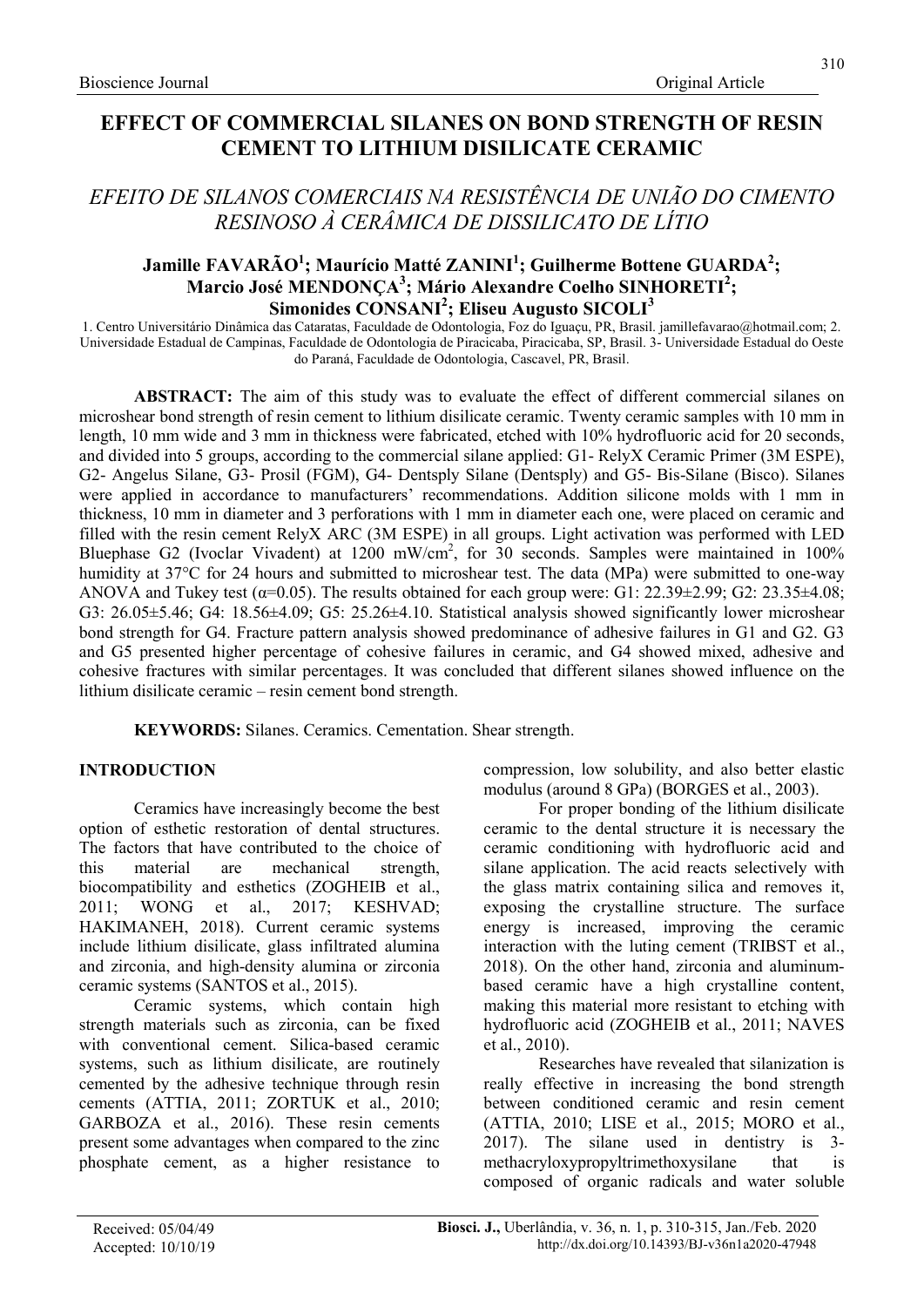# CEMENT TO LITHIUM DISILICATE CERAMIC

# EFEITO DE SILANOS COMERCIAIS NA RESISTÊNCIA DE UNIÃO DO CIMENTO RESINOSO À CERÂMICA DE DISSILICATO DE LÍTIO

# Jamille FAVARÃO<sup>1</sup>; Maurício Matté ZANINI<sup>1</sup>; Guilherme Bottene GUARDA<sup>2</sup>; Marcio José MENDONÇA $^3$ ; Mário Alexandre Coelho SINHORETI $^2$ ; Simonides  $\overline{CONSANI}^2$ ; Eliseu Augusto SICOLI<sup>3</sup>

1. Centro Universitário Dinâmica das Cataratas, Faculdade de Odontologia, Foz do Iguaçu, PR, Brasil. jamillefavarao@hotmail.com; 2. Universidade Estadual de Campinas, Faculdade de Odontologia de Piracicaba, Piracicaba, SP, Brasil. 3- Universidade Estadual do Oeste do Paraná, Faculdade de Odontologia, Cascavel, PR, Brasil.

ABSTRACT: The aim of this study was to evaluate the effect of different commercial silanes on microshear bond strength of resin cement to lithium disilicate ceramic. Twenty ceramic samples with 10 mm in length, 10 mm wide and 3 mm in thickness were fabricated, etched with 10% hydrofluoric acid for 20 seconds, and divided into 5 groups, according to the commercial silane applied: G1- RelyX Ceramic Primer (3M ESPE), G2- Angelus Silane, G3- Prosil (FGM), G4- Dentsply Silane (Dentsply) and G5- Bis-Silane (Bisco). Silanes were applied in accordance to manufacturers' recommendations. Addition silicone molds with 1 mm in thickness, 10 mm in diameter and 3 perforations with 1 mm in diameter each one, were placed on ceramic and filled with the resin cement RelyX ARC (3M ESPE) in all groups. Light activation was performed with LED Bluephase G2 (Ivoclar Vivadent) at 1200 mW/cm<sup>2</sup>, for 30 seconds. Samples were maintained in 100% humidity at 37°C for 24 hours and submitted to microshear test. The data (MPa) were submitted to one-way ANOVA and Tukey test ( $\alpha$ =0.05). The results obtained for each group were: G1: 22.39 $\pm$ 2.99; G2: 23.35 $\pm$ 4.08; G3: 26.05±5.46; G4: 18.56±4.09; G5: 25.26±4.10. Statistical analysis showed significantly lower microshear bond strength for G4. Fracture pattern analysis showed predominance of adhesive failures in G1 and G2. G3 and G5 presented higher percentage of cohesive failures in ceramic, and G4 showed mixed, adhesive and cohesive fractures with similar percentages. It was concluded that different silanes showed influence on the lithium disilicate ceramic – resin cement bond strength.

KEYWORDS: Silanes. Ceramics. Cementation. Shear strength.

# INTRODUCTION

Ceramics have increasingly become the best option of esthetic restoration of dental structures. The factors that have contributed to the choice of this material are mechanical strength, biocompatibility and esthetics (ZOGHEIB et al., 2011; WONG et al., 2017; KESHVAD; HAKIMANEH, 2018). Current ceramic systems include lithium disilicate, glass infiltrated alumina and zirconia, and high-density alumina or zirconia ceramic systems (SANTOS et al., 2015).

Ceramic systems, which contain high strength materials such as zirconia, can be fixed with conventional cement. Silica-based ceramic systems, such as lithium disilicate, are routinely cemented by the adhesive technique through resin cements (ATTIA, 2011; ZORTUK et al., 2010; GARBOZA et al., 2016). These resin cements present some advantages when compared to the zinc phosphate cement, as a higher resistance to compression, low solubility, and also better elastic modulus (around 8 GPa) (BORGES et al., 2003).

For proper bonding of the lithium disilicate ceramic to the dental structure it is necessary the ceramic conditioning with hydrofluoric acid and silane application. The acid reacts selectively with the glass matrix containing silica and removes it, exposing the crystalline structure. The surface energy is increased, improving the ceramic interaction with the luting cement (TRIBST et al., 2018). On the other hand, zirconia and aluminumbased ceramic have a high crystalline content, making this material more resistant to etching with hydrofluoric acid (ZOGHEIB et al., 2011; NAVES et al., 2010).

Researches have revealed that silanization is really effective in increasing the bond strength between conditioned ceramic and resin cement (ATTIA, 2010; LISE et al., 2015; MORO et al., 2017). The silane used in dentistry is 3 methacryloxypropyltrimethoxysilane that is composed of organic radicals and water soluble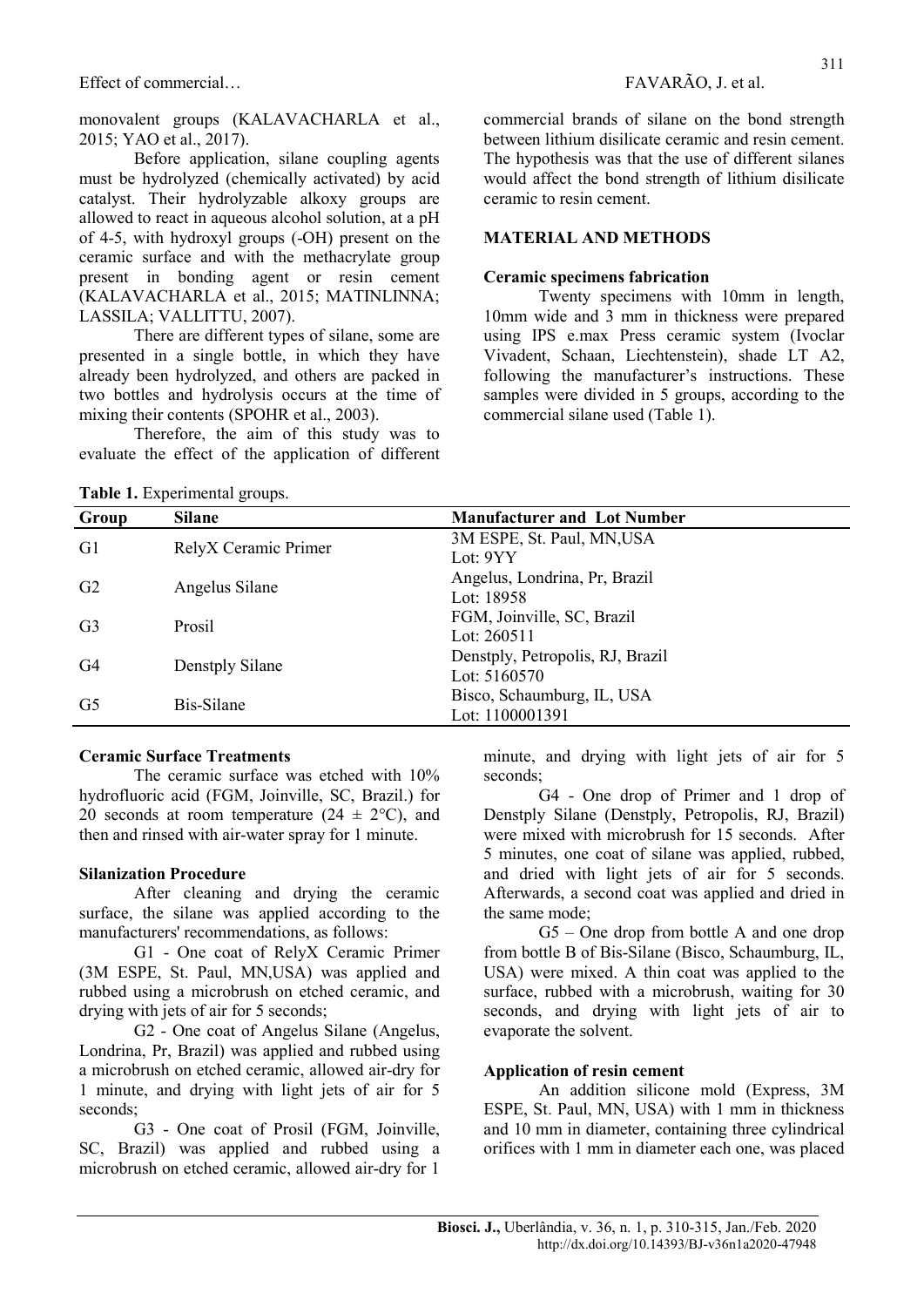Effect of commercial… FAVARÃO, J. et al.

monovalent groups (KALAVACHARLA et al., 2015; YAO et al., 2017).

Before application, silane coupling agents must be hydrolyzed (chemically activated) by acid catalyst. Their hydrolyzable alkoxy groups are allowed to react in aqueous alcohol solution, at a pH of 4-5, with hydroxyl groups (-OH) present on the ceramic surface and with the methacrylate group present in bonding agent or resin cement (KALAVACHARLA et al., 2015; MATINLINNA; LASSILA; VALLITTU, 2007).

There are different types of silane, some are presented in a single bottle, in which they have already been hydrolyzed, and others are packed in two bottles and hydrolysis occurs at the time of mixing their contents (SPOHR et al., 2003).

Therefore, the aim of this study was to evaluate the effect of the application of different

Table 1. Experimental groups.

commercial brands of silane on the bond strength between lithium disilicate ceramic and resin cement. The hypothesis was that the use of different silanes would affect the bond strength of lithium disilicate ceramic to resin cement.

#### MATERIAL AND METHODS

#### Ceramic specimens fabrication

Twenty specimens with 10mm in length, 10mm wide and 3 mm in thickness were prepared using IPS e.max Press ceramic system (Ivoclar Vivadent, Schaan, Liechtenstein), shade LT A2, following the manufacturer's instructions. These samples were divided in 5 groups, according to the commercial silane used (Table 1).

| Group          | <b>Silane</b>        | <b>Manufacturer and Lot Number</b> |
|----------------|----------------------|------------------------------------|
| G1             | RelyX Ceramic Primer | 3M ESPE, St. Paul, MN, USA         |
|                |                      | Lot: $9YY$                         |
| G2             | Angelus Silane       | Angelus, Londrina, Pr, Brazil      |
|                |                      | Lot: $18958$                       |
| G <sub>3</sub> | Prosil               | FGM, Joinville, SC, Brazil         |
|                |                      | Lot: $260511$                      |
| G4             | Denstply Silane      | Denstply, Petropolis, RJ, Brazil   |
|                |                      | Lot: $5160570$                     |
| G <sub>5</sub> | Bis-Silane           | Bisco, Schaumburg, IL, USA         |
|                |                      | Lot: 1100001391                    |

#### Ceramic Surface Treatments

The ceramic surface was etched with 10% hydrofluoric acid (FGM, Joinville, SC, Brazil.) for 20 seconds at room temperature  $(24 \pm 2^{\circ}C)$ , and then and rinsed with air-water spray for 1 minute.

#### Silanization Procedure

After cleaning and drying the ceramic surface, the silane was applied according to the manufacturers' recommendations, as follows:

G1 - One coat of RelyX Ceramic Primer (3M ESPE, St. Paul, MN,USA) was applied and rubbed using a microbrush on etched ceramic, and drying with jets of air for 5 seconds;

G2 - One coat of Angelus Silane (Angelus, Londrina, Pr, Brazil) was applied and rubbed using a microbrush on etched ceramic, allowed air-dry for 1 minute, and drying with light jets of air for 5 seconds;

G3 - One coat of Prosil (FGM, Joinville, SC, Brazil) was applied and rubbed using a microbrush on etched ceramic, allowed air-dry for 1

minute, and drying with light jets of air for 5 seconds;

G4 - One drop of Primer and 1 drop of Denstply Silane (Denstply, Petropolis, RJ, Brazil) were mixed with microbrush for 15 seconds. After 5 minutes, one coat of silane was applied, rubbed, and dried with light jets of air for 5 seconds. Afterwards, a second coat was applied and dried in the same mode;

G5 – One drop from bottle A and one drop from bottle B of Bis-Silane (Bisco, Schaumburg, IL, USA) were mixed. A thin coat was applied to the surface, rubbed with a microbrush, waiting for 30 seconds, and drying with light jets of air to evaporate the solvent.

#### Application of resin cement

An addition silicone mold (Express, 3M ESPE, St. Paul, MN, USA) with 1 mm in thickness and 10 mm in diameter, containing three cylindrical orifices with 1 mm in diameter each one, was placed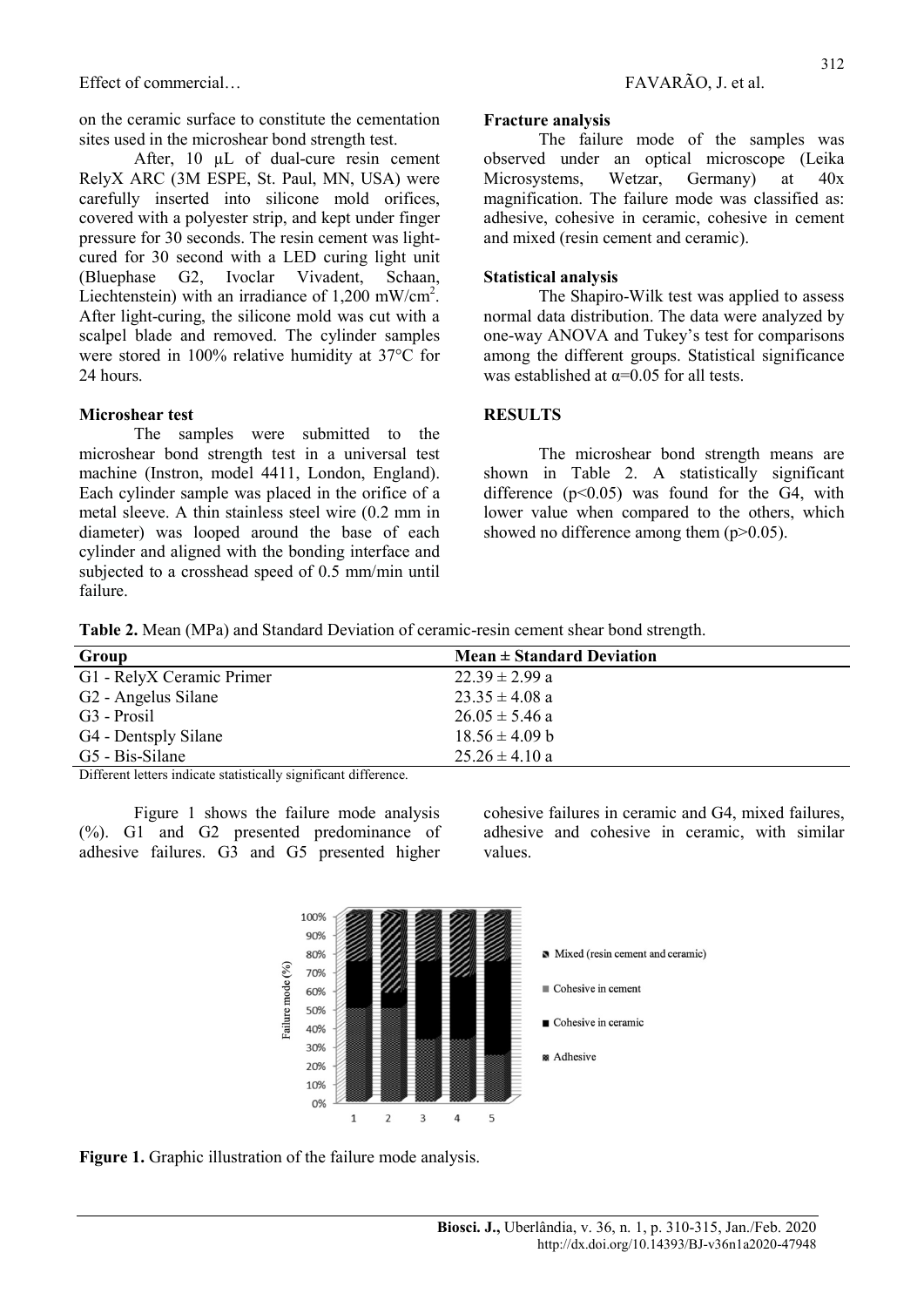Effect of commercial…

on the ceramic surface to constitute the cementation sites used in the microshear bond strength test.

After, 10 µL of dual-cure resin cement RelyX ARC (3M ESPE, St. Paul, MN, USA) were carefully inserted into silicone mold orifices, covered with a polyester strip, and kept under finger pressure for 30 seconds. The resin cement was lightcured for 30 second with a LED curing light unit (Bluephase G2, Ivoclar Vivadent, Schaan, Liechtenstein) with an irradiance of  $1,200$  mW/cm<sup>2</sup>. After light-curing, the silicone mold was cut with a scalpel blade and removed. The cylinder samples were stored in 100% relative humidity at 37°C for 24 hours.

#### Microshear test

The samples were submitted to the microshear bond strength test in a universal test machine (Instron, model 4411, London, England). Each cylinder sample was placed in the orifice of a metal sleeve. A thin stainless steel wire (0.2 mm in diameter) was looped around the base of each cylinder and aligned with the bonding interface and subjected to a crosshead speed of 0.5 mm/min until failure.

#### Fracture analysis

The failure mode of the samples was observed under an optical microscope (Leika Microsystems, Wetzar, Germany) at 40x magnification. The failure mode was classified as: adhesive, cohesive in ceramic, cohesive in cement and mixed (resin cement and ceramic).

#### Statistical analysis

The Shapiro-Wilk test was applied to assess normal data distribution. The data were analyzed by one-way ANOVA and Tukey's test for comparisons among the different groups. Statistical significance was established at  $\alpha$ =0.05 for all tests.

#### **RESULTS**

The microshear bond strength means are shown in Table 2. A statistically significant difference  $(p<0.05)$  was found for the G4, with lower value when compared to the others, which showed no difference among them  $(p>0.05)$ .

Table 2. Mean (MPa) and Standard Deviation of ceramic-resin cement shear bond strength.

| Group                           | $Mean \pm Standard Deviation$ |  |
|---------------------------------|-------------------------------|--|
| G1 - RelyX Ceramic Primer       | $22.39 \pm 2.99$ a            |  |
| G <sub>2</sub> - Angelus Silane | $23.35 \pm 4.08$ a            |  |
| G <sub>3</sub> - Prosil         | $26.05 \pm 5.46$ a            |  |
| G4 - Dentsply Silane            | $18.56 \pm 4.09$ b            |  |
| G5 - Bis-Silane                 | $25.26 \pm 4.10$ a            |  |

Different letters indicate statistically significant difference.

Figure 1 shows the failure mode analysis (%). G1 and G2 presented predominance of adhesive failures. G3 and G5 presented higher cohesive failures in ceramic and G4, mixed failures, adhesive and cohesive in ceramic, with similar values.



Figure 1. Graphic illustration of the failure mode analysis.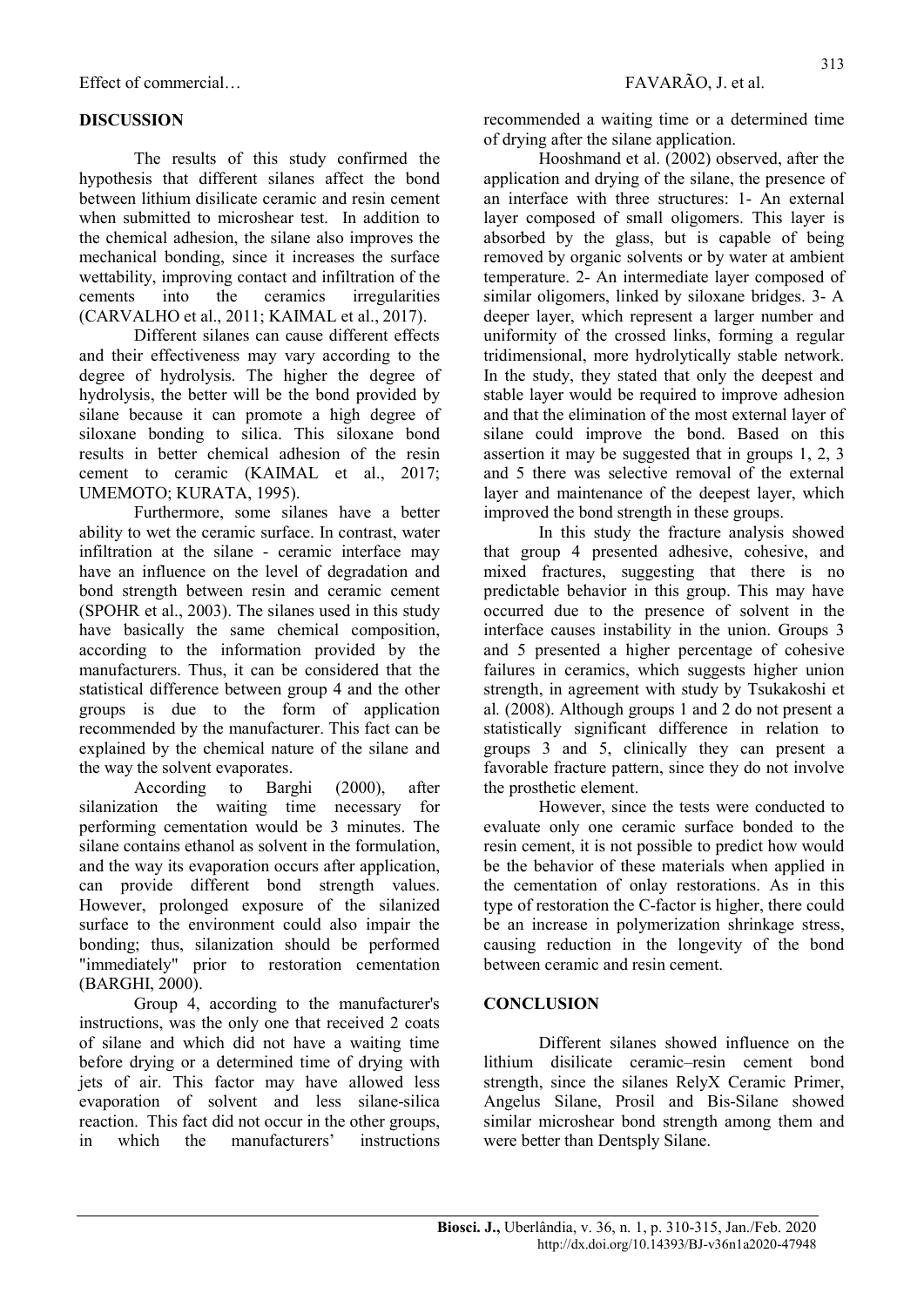# DISCUSSION

The results of this study confirmed the hypothesis that different silanes affect the bond between lithium disilicate ceramic and resin cement when submitted to microshear test. In addition to the chemical adhesion, the silane also improves the mechanical bonding, since it increases the surface wettability, improving contact and infiltration of the cements into the ceramics irregularities (CARVALHO et al., 2011; KAIMAL et al., 2017).

Different silanes can cause different effects and their effectiveness may vary according to the degree of hydrolysis. The higher the degree of hydrolysis, the better will be the bond provided by silane because it can promote a high degree of siloxane bonding to silica. This siloxane bond results in better chemical adhesion of the resin cement to ceramic (KAIMAL et al., 2017; UMEMOTO; KURATA, 1995).

Furthermore, some silanes have a better ability to wet the ceramic surface. In contrast, water infiltration at the silane - ceramic interface may have an influence on the level of degradation and bond strength between resin and ceramic cement (SPOHR et al., 2003). The silanes used in this study have basically the same chemical composition, according to the information provided by the manufacturers. Thus, it can be considered that the statistical difference between group 4 and the other groups is due to the form of application recommended by the manufacturer. This fact can be explained by the chemical nature of the silane and the way the solvent evaporates.

According to Barghi (2000), after silanization the waiting time necessary for performing cementation would be 3 minutes. The silane contains ethanol as solvent in the formulation, and the way its evaporation occurs after application, can provide different bond strength values. However, prolonged exposure of the silanized surface to the environment could also impair the bonding; thus, silanization should be performed "immediately" prior to restoration cementation (BARGHI, 2000).

Group 4, according to the manufacturer's instructions, was the only one that received 2 coats of silane and which did not have a waiting time before drying or a determined time of drying with jets of air. This factor may have allowed less evaporation of solvent and less silane-silica reaction. This fact did not occur in the other groups, in which the manufacturers' instructions recommended a waiting time or a determined time of drying after the silane application.

Hooshmand et al. (2002) observed, after the application and drying of the silane, the presence of an interface with three structures: 1- An external layer composed of small oligomers. This layer is absorbed by the glass, but is capable of being removed by organic solvents or by water at ambient temperature. 2- An intermediate layer composed of similar oligomers, linked by siloxane bridges. 3- A deeper layer, which represent a larger number and uniformity of the crossed links, forming a regular tridimensional, more hydrolytically stable network. In the study, they stated that only the deepest and stable layer would be required to improve adhesion and that the elimination of the most external layer of silane could improve the bond. Based on this assertion it may be suggested that in groups 1, 2, 3 and 5 there was selective removal of the external layer and maintenance of the deepest layer, which improved the bond strength in these groups.

In this study the fracture analysis showed that group 4 presented adhesive, cohesive, and mixed fractures, suggesting that there is no predictable behavior in this group. This may have occurred due to the presence of solvent in the interface causes instability in the union. Groups 3 and 5 presented a higher percentage of cohesive failures in ceramics, which suggests higher union strength, in agreement with study by Tsukakoshi et al. (2008). Although groups 1 and 2 do not present a statistically significant difference in relation to groups 3 and 5, clinically they can present a favorable fracture pattern, since they do not involve the prosthetic element.

However, since the tests were conducted to evaluate only one ceramic surface bonded to the resin cement, it is not possible to predict how would be the behavior of these materials when applied in the cementation of onlay restorations. As in this type of restoration the C-factor is higher, there could be an increase in polymerization shrinkage stress, causing reduction in the longevity of the bond between ceramic and resin cement.

# **CONCLUSION**

Different silanes showed influence on the lithium disilicate ceramic–resin cement bond strength, since the silanes RelyX Ceramic Primer, Angelus Silane, Prosil and Bis-Silane showed similar microshear bond strength among them and were better than Dentsply Silane.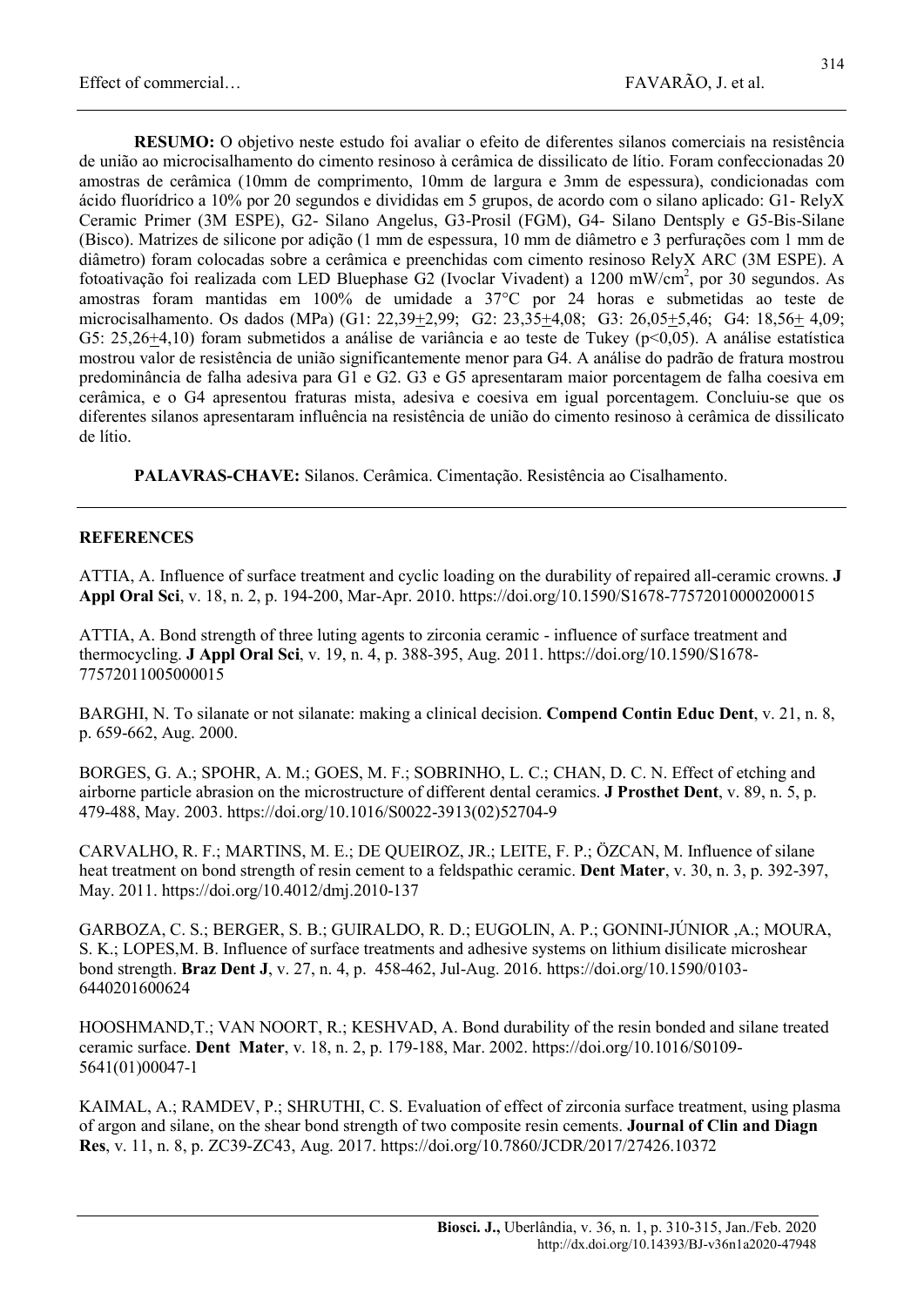RESUMO: O objetivo neste estudo foi avaliar o efeito de diferentes silanos comerciais na resistência de união ao microcisalhamento do cimento resinoso à cerâmica de dissilicato de lítio. Foram confeccionadas 20 amostras de cerâmica (10mm de comprimento, 10mm de largura e 3mm de espessura), condicionadas com ácido fluorídrico a 10% por 20 segundos e divididas em 5 grupos, de acordo com o silano aplicado: G1- RelyX Ceramic Primer (3M ESPE), G2- Silano Angelus, G3-Prosil (FGM), G4- Silano Dentsply e G5-Bis-Silane (Bisco). Matrizes de silicone por adição (1 mm de espessura, 10 mm de diâmetro e 3 perfurações com 1 mm de diâmetro) foram colocadas sobre a cerâmica e preenchidas com cimento resinoso RelyX ARC (3M ESPE). A fotoativação foi realizada com LED Bluephase G2 (Ivoclar Vivadent) a 1200 mW/cm<sup>2</sup>, por 30 segundos. As amostras foram mantidas em 100% de umidade a 37°C por 24 horas e submetidas ao teste de microcisalhamento. Os dados (MPa) (G1: 22,39+2,99; G2: 23,35+4,08; G3: 26,05+5,46; G4: 18,56+ 4,09; G5: 25,26+4,10) foram submetidos a análise de variância e ao teste de Tukey (p<0,05). A análise estatística mostrou valor de resistência de união significantemente menor para G4. A análise do padrão de fratura mostrou predominância de falha adesiva para G1 e G2. G3 e G5 apresentaram maior porcentagem de falha coesiva em cerâmica, e o G4 apresentou fraturas mista, adesiva e coesiva em igual porcentagem. Concluiu-se que os diferentes silanos apresentaram influência na resistência de união do cimento resinoso à cerâmica de dissilicato de lítio.

PALAVRAS-CHAVE: Silanos. Cerâmica. Cimentação. Resistência ao Cisalhamento.

#### **REFERENCES**

ATTIA, A. Influence of surface treatment and cyclic loading on the durability of repaired all-ceramic crowns. J Appl Oral Sci, v. 18, n. 2, p. 194-200, Mar-Apr. 2010. https://doi.org/10.1590/S1678-77572010000200015

ATTIA, A. Bond strength of three luting agents to zirconia ceramic - influence of surface treatment and thermocycling. J Appl Oral Sci, v. 19, n. 4, p. 388-395, Aug. 2011. https://doi.org/10.1590/S1678- 77572011005000015

BARGHI, N. To silanate or not silanate: making a clinical decision. **Compend Contin Educ Dent**, v. 21, n. 8, p. 659-662, Aug. 2000.

BORGES, G. A.; SPOHR, A. M.; GOES, M. F.; SOBRINHO, L. C.; CHAN, D. C. N. Effect of etching and airborne particle abrasion on the microstructure of different dental ceramics. J Prosthet Dent, v. 89, n. 5, p. 479-488, May. 2003. https://doi.org/10.1016/S0022-3913(02)52704-9

CARVALHO, R. F.; MARTINS, M. E.; DE QUEIROZ, JR.; LEITE, F. P.; ÖZCAN, M. Influence of silane heat treatment on bond strength of resin cement to a feldspathic ceramic. Dent Mater, v. 30, n. 3, p. 392-397, May. 2011. https://doi.org/10.4012/dmj.2010-137

GARBOZA, C. S.; BERGER, S. B.; GUIRALDO, R. D.; EUGOLIN, A. P.; GONINI-JÚNIOR ,A.; MOURA, S. K.; LOPES,M. B. Influence of surface treatments and adhesive systems on lithium disilicate microshear bond strength. Braz Dent J, v. 27, n. 4, p. 458-462, Jul-Aug. 2016. https://doi.org/10.1590/0103- 6440201600624

HOOSHMAND,T.; VAN NOORT, R.; KESHVAD, A. Bond durability of the resin bonded and silane treated ceramic surface. Dent Mater, v. 18, n. 2, p. 179-188, Mar. 2002. https://doi.org/10.1016/S0109- 5641(01)00047-1

KAIMAL, A.; RAMDEV, P.; SHRUTHI, C. S. Evaluation of effect of zirconia surface treatment, using plasma of argon and silane, on the shear bond strength of two composite resin cements. Journal of Clin and Diagn Res, v. 11, n. 8, p. ZC39-ZC43, Aug. 2017. https://doi.org/10.7860/JCDR/2017/27426.10372

314